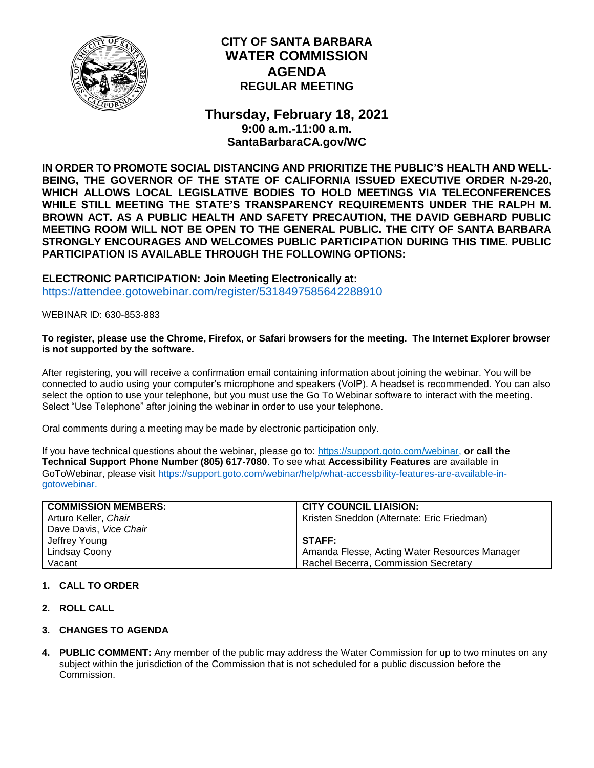

# **CITY OF SANTA BARBARA WATER COMMISSION AGENDA REGULAR MEETING**

**Thursday, February 18, 2021 9:00 a.m.-11:00 a.m. SantaBarbaraCA.gov/WC**

**IN ORDER TO PROMOTE SOCIAL DISTANCING AND PRIORITIZE THE PUBLIC'S HEALTH AND WELL-BEING, THE GOVERNOR OF THE STATE OF CALIFORNIA ISSUED EXECUTIVE ORDER N-29-20, WHICH ALLOWS LOCAL LEGISLATIVE BODIES TO HOLD MEETINGS VIA TELECONFERENCES WHILE STILL MEETING THE STATE'S TRANSPARENCY REQUIREMENTS UNDER THE RALPH M. BROWN ACT. AS A PUBLIC HEALTH AND SAFETY PRECAUTION, THE DAVID GEBHARD PUBLIC MEETING ROOM WILL NOT BE OPEN TO THE GENERAL PUBLIC. THE CITY OF SANTA BARBARA STRONGLY ENCOURAGES AND WELCOMES PUBLIC PARTICIPATION DURING THIS TIME. PUBLIC PARTICIPATION IS AVAILABLE THROUGH THE FOLLOWING OPTIONS:**

**ELECTRONIC PARTICIPATION: Join Meeting Electronically at:** <https://attendee.gotowebinar.com/register/5318497585642288910>

WEBINAR ID: 630-853-883

## **To register, please use the Chrome, Firefox, or Safari browsers for the meeting. The Internet Explorer browser is not supported by the software.**

After registering, you will receive a confirmation email containing information about joining the webinar. You will be connected to audio using your computer's microphone and speakers (VoIP). A headset is recommended. You can also select the option to use your telephone, but you must use the Go To Webinar software to interact with the meeting. Select "Use Telephone" after joining the webinar in order to use your telephone.

Oral comments during a meeting may be made by electronic participation only.

If you have technical questions about the webinar, please go to: [https://support.goto.com/webinar,](https://support.goto.com/webinar) **or call the Technical Support Phone Number (805) 617-7080**. To see what **Accessibility Features** are available in GoToWebinar, please visit [https://support.goto.com/webinar/help/what-accessbility-features-are-available-in](https://support.goto.com/webinar/help/what-accessbility-features-are-available-in-gotowebinar)[gotowebinar.](https://support.goto.com/webinar/help/what-accessbility-features-are-available-in-gotowebinar)

| <b>COMMISSION MEMBERS:</b> | <b>CITY COUNCIL LIAISION:</b>                 |
|----------------------------|-----------------------------------------------|
| Arturo Keller, Chair       | Kristen Sneddon (Alternate: Eric Friedman)    |
| Dave Davis, Vice Chair     |                                               |
| Jeffrey Young              | STAFF:                                        |
| Lindsay Coony              | Amanda Flesse, Acting Water Resources Manager |
| Vacant                     | Rachel Becerra, Commission Secretary          |

## **1. CALL TO ORDER**

- **2. ROLL CALL**
- **3. CHANGES TO AGENDA**
- **4. PUBLIC COMMENT:** Any member of the public may address the Water Commission for up to two minutes on any subject within the jurisdiction of the Commission that is not scheduled for a public discussion before the Commission.